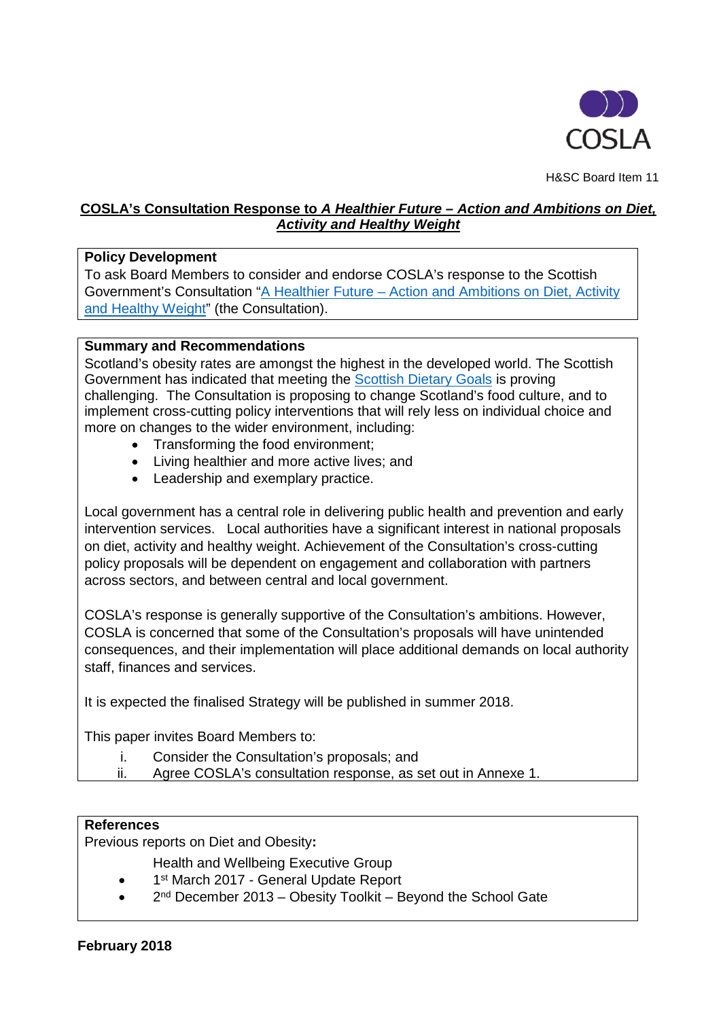

H&SC Board Item 11

# **COSLA's Consultation Response to** *A Healthier Future – Action and Ambitions on Diet, Activity and Healthy Weight*

### **Policy Development**

To ask Board Members to consider and endorse COSLA's response to the Scottish Government's Consultation "A Healthier Future – Action and Ambitions on Diet, Activity [and Healthy Weight"](https://consult.gov.scot/health-and-social-care/a-healthier-future/user_uploads/00526543.pdf) (the Consultation).

#### **Summary and Recommendations**

Scotland's obesity rates are amongst the highest in the developed world. The Scottish Government has indicated that meeting the [Scottish Dietary Goals](https://news.gov.scot/news/scottish-dietary-goals) is proving challenging. The Consultation is proposing to change Scotland's food culture, and to implement cross-cutting policy interventions that will rely less on individual choice and more on changes to the wider environment, including:

- Transforming the food environment;
- Living healthier and more active lives; and
- Leadership and exemplary practice.

Local government has a central role in delivering public health and prevention and early intervention services. Local authorities have a significant interest in national proposals on diet, activity and healthy weight. Achievement of the Consultation's cross-cutting policy proposals will be dependent on engagement and collaboration with partners across sectors, and between central and local government.

COSLA's response is generally supportive of the Consultation's ambitions. However, COSLA is concerned that some of the Consultation's proposals will have unintended consequences, and their implementation will place additional demands on local authority staff, finances and services.

It is expected the finalised Strategy will be published in summer 2018.

This paper invites Board Members to:

- i. Consider the Consultation's proposals; and
- ii. Agree COSLA's consultation response, as set out in Annexe 1.

## **References**

Previous reports on Diet and Obesity**:**

Health and Wellbeing Executive Group

- 1<sup>st</sup> March 2017 General Update Report
- 2<sup>nd</sup> December 2013 Obesity Toolkit Beyond the School Gate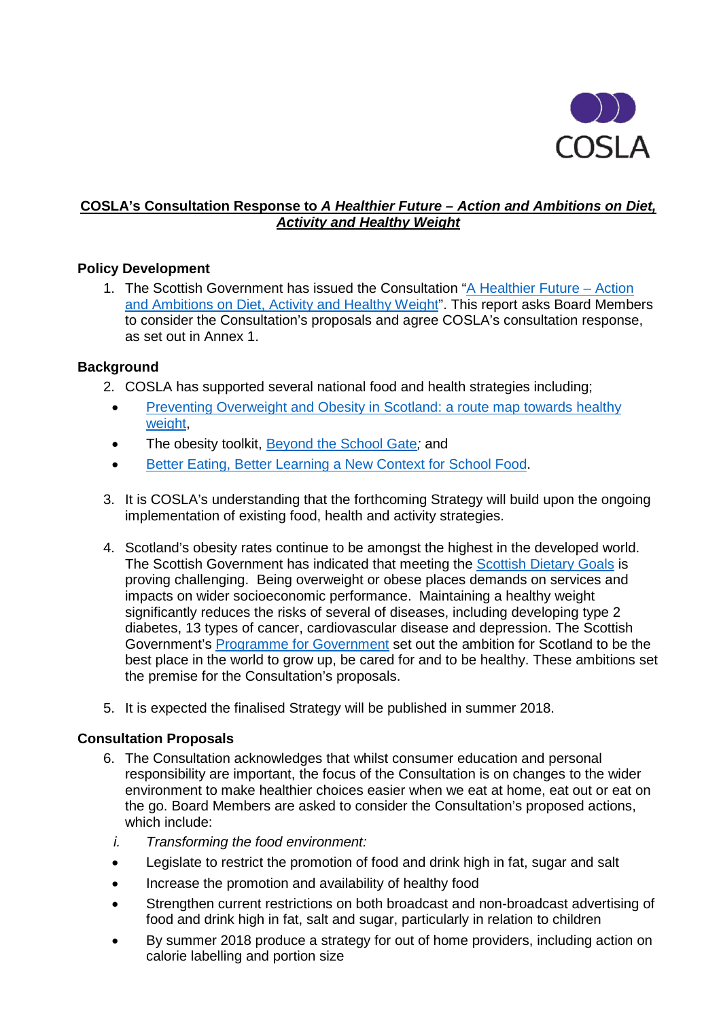

# **COSLA's Consultation Response to** *A Healthier Future – Action and Ambitions on Diet, Activity and Healthy Weight*

# **Policy Development**

1. The Scottish Government has issued the Consultation ["A Healthier Future –](https://consult.gov.scot/health-and-social-care/a-healthier-future/user_uploads/00526543.pdf) Action [and Ambitions on Diet, Activity and Healthy Weight"](https://consult.gov.scot/health-and-social-care/a-healthier-future/user_uploads/00526543.pdf). This report asks Board Members to consider the Consultation's proposals and agree COSLA's consultation response, as set out in Annex 1.

#### **Background**

- 2. COSLA has supported several national food and health strategies including;
	- Preventing Overweight and Obesity in Scotland: a route map towards healthy weight.
- The obesity toolkit, [Beyond the School Gate](http://www.gov.scot/Publications/2014/05/4143)*;* and
- [Better Eating, Better Learning a New Context for School Food.](http://www.gov.scot/Publications/2014/03/1606)
- 3. It is COSLA's understanding that the forthcoming Strategy will build upon the ongoing implementation of existing food, health and activity strategies.
- 4. Scotland's obesity rates continue to be amongst the highest in the developed world. The Scottish Government has indicated that meeting the [Scottish Dietary Goals](https://news.gov.scot/news/scottish-dietary-goals) is proving challenging. Being overweight or obese places demands on services and impacts on wider socioeconomic performance. Maintaining a healthy weight significantly reduces the risks of several of diseases, including developing type 2 diabetes, 13 types of cancer, cardiovascular disease and depression. The Scottish Government's [Programme for Government](http://www.gov.scot/programme2016) set out the ambition for Scotland to be the best place in the world to grow up, be cared for and to be healthy. These ambitions set the premise for the Consultation's proposals.
- 5. It is expected the finalised Strategy will be published in summer 2018.

## **Consultation Proposals**

- 6. The Consultation acknowledges that whilst consumer education and personal responsibility are important, the focus of the Consultation is on changes to the wider environment to make healthier choices easier when we eat at home, eat out or eat on the go. Board Members are asked to consider the Consultation's proposed actions, which include:
- *i. Transforming the food environment:*
- Legislate to restrict the promotion of food and drink high in fat, sugar and salt
- Increase the promotion and availability of healthy food
- Strengthen current restrictions on both broadcast and non-broadcast advertising of food and drink high in fat, salt and sugar, particularly in relation to children
- By summer 2018 produce a strategy for out of home providers, including action on calorie labelling and portion size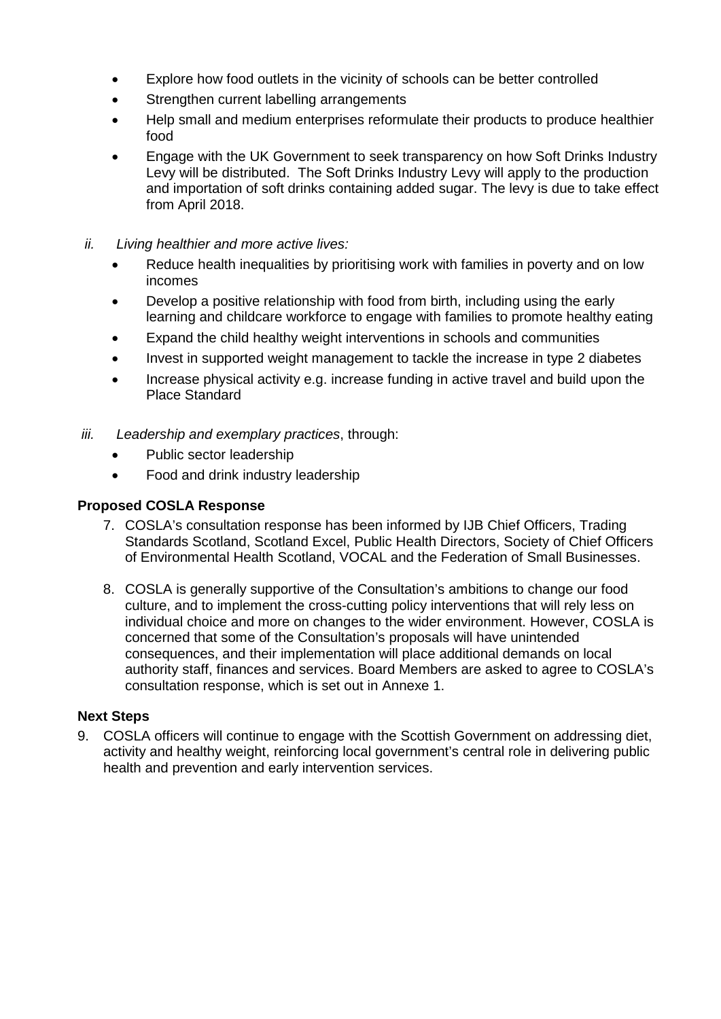- Explore how food outlets in the vicinity of schools can be better controlled
- Strengthen current labelling arrangements
- Help small and medium enterprises reformulate their products to produce healthier food
- Engage with the UK Government to seek transparency on how Soft Drinks Industry Levy will be distributed. The Soft Drinks Industry Levy will apply to the production and importation of soft drinks containing added sugar. The levy is due to take effect from April 2018.
- *ii. Living healthier and more active lives:*
	- Reduce health inequalities by prioritising work with families in poverty and on low incomes
	- Develop a positive relationship with food from birth, including using the early learning and childcare workforce to engage with families to promote healthy eating
	- Expand the child healthy weight interventions in schools and communities
	- Invest in supported weight management to tackle the increase in type 2 diabetes
	- Increase physical activity e.g. increase funding in active travel and build upon the Place Standard
- *iii. Leadership and exemplary practices*, through:
	- Public sector leadership
	- Food and drink industry leadership

### **Proposed COSLA Response**

- 7. COSLA's consultation response has been informed by IJB Chief Officers, Trading Standards Scotland, Scotland Excel, Public Health Directors, Society of Chief Officers of Environmental Health Scotland, VOCAL and the Federation of Small Businesses.
- 8. COSLA is generally supportive of the Consultation's ambitions to change our food culture, and to implement the cross-cutting policy interventions that will rely less on individual choice and more on changes to the wider environment. However, COSLA is concerned that some of the Consultation's proposals will have unintended consequences, and their implementation will place additional demands on local authority staff, finances and services. Board Members are asked to agree to COSLA's consultation response, which is set out in Annexe 1.

#### **Next Steps**

9. COSLA officers will continue to engage with the Scottish Government on addressing diet, activity and healthy weight, reinforcing local government's central role in delivering public health and prevention and early intervention services.